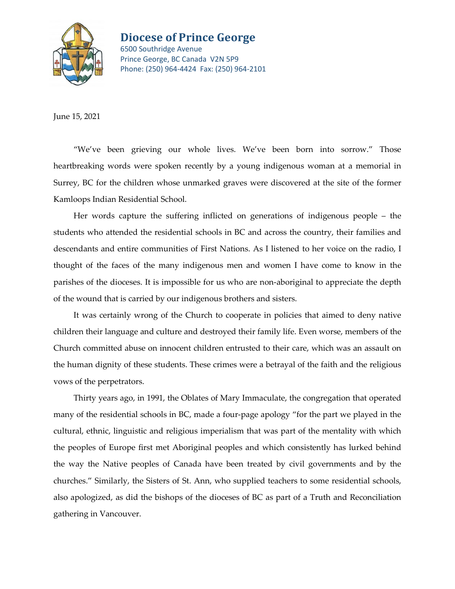

## **Diocese of Prince George**

6500 Southridge Avenue Prince George, BC Canada V2N 5P9 Phone: (250) 964-4424 Fax: (250) 964-2101

June 15, 2021

"We've been grieving our whole lives. We've been born into sorrow." Those heartbreaking words were spoken recently by a young indigenous woman at a memorial in Surrey, BC for the children whose unmarked graves were discovered at the site of the former Kamloops Indian Residential School.

Her words capture the suffering inflicted on generations of indigenous people – the students who attended the residential schools in BC and across the country, their families and descendants and entire communities of First Nations. As I listened to her voice on the radio, I thought of the faces of the many indigenous men and women I have come to know in the parishes of the dioceses. It is impossible for us who are non-aboriginal to appreciate the depth of the wound that is carried by our indigenous brothers and sisters.

It was certainly wrong of the Church to cooperate in policies that aimed to deny native children their language and culture and destroyed their family life. Even worse, members of the Church committed abuse on innocent children entrusted to their care, which was an assault on the human dignity of these students. These crimes were a betrayal of the faith and the religious vows of the perpetrators.

Thirty years ago, in 1991, the Oblates of Mary Immaculate, the congregation that operated many of the residential schools in BC, made a four-page apology "for the part we played in the cultural, ethnic, linguistic and religious imperialism that was part of the mentality with which the peoples of Europe first met Aboriginal peoples and which consistently has lurked behind the way the Native peoples of Canada have been treated by civil governments and by the churches." Similarly, the Sisters of St. Ann, who supplied teachers to some residential schools, also apologized, as did the bishops of the dioceses of BC as part of a Truth and Reconciliation gathering in Vancouver.